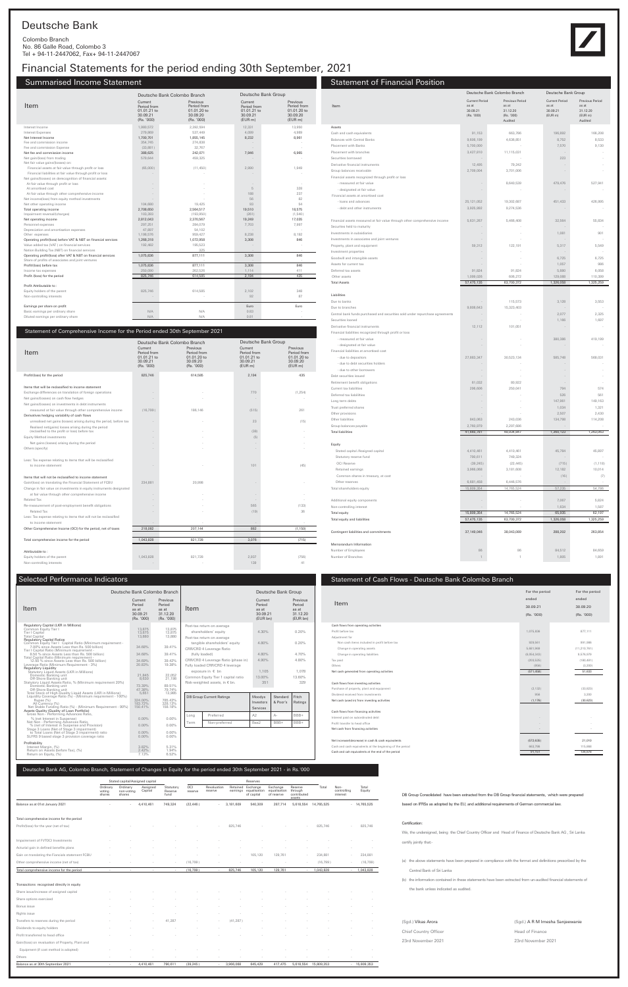## Deutsche Bank

Colombo Branch No. 86 Galle Road, Colombo 3 Tel + 94-11-2447062, Fax+ 94-11-2447067

# Financial Statements for the period ending 30th September, 2021

### Summarised Income Statement

|                                                                |                                                                 | Deutsche Bank Colombo Branch                                     | Deutsche Bank Group                                          |                                                                |
|----------------------------------------------------------------|-----------------------------------------------------------------|------------------------------------------------------------------|--------------------------------------------------------------|----------------------------------------------------------------|
| Item                                                           | Current<br>Period from<br>01.01.21 to<br>30.09.21<br>(Rs. '000) | Previous<br>Period from<br>01.01.20 to<br>30.09.20<br>(Rs. '000) | Current<br>Period from<br>01.01.21 to<br>30.09.21<br>(EUR m) | Previous<br>Period from<br>$01.01.20$ to<br>30.09.20<br>(EURm) |
| Interest Income                                                | 1,980,572                                                       | 2,392,594                                                        | 12,331                                                       | 13,950                                                         |
| Interest Expenses                                              | 279,869                                                         | 537,449                                                          | 4,099                                                        | 4,989                                                          |
| Net Interest Income                                            | 1,700,701                                                       | 1.855.145                                                        | 8,232                                                        | 8.961                                                          |
| Fee and commission income                                      | 354,745                                                         | 274,838                                                          | $\overline{a}$                                               |                                                                |
| Fee and commission Expense                                     | (33, 881)                                                       | 32.767                                                           |                                                              |                                                                |
| Net fee and commission income                                  | 388,625                                                         | 242,071                                                          | 7,946                                                        | 6,965                                                          |
| Net gain/(loss) from trading                                   | 579,644                                                         | 459,325                                                          |                                                              |                                                                |
| Net fair value gains/(losses) on:                              |                                                                 |                                                                  |                                                              |                                                                |
| Financial assets at fair value through profit or loss          | (65,000)                                                        | (11, 450)                                                        | 2.990                                                        | 1.949                                                          |
| Financial liabilities at fair value through profit or loss     |                                                                 |                                                                  |                                                              |                                                                |
| Net gains/(losses) on derecognition of financial assets:       |                                                                 |                                                                  |                                                              |                                                                |
| At fair value through profit or loss                           |                                                                 |                                                                  | i.                                                           |                                                                |
| At amortised cost                                              |                                                                 |                                                                  | 5                                                            | 328                                                            |
| At fair value through other comprehensive income               |                                                                 |                                                                  | 188                                                          | 237                                                            |
| Net income(loss) from equity method investments                |                                                                 |                                                                  | 56                                                           | 82                                                             |
| Net other operating income                                     | 104,680                                                         | 19.425                                                           | 93                                                           | 54                                                             |
| Total operating income                                         | 2,708,650                                                       | 2,564,517                                                        | 19,510                                                       | 18,575                                                         |
| Impairment reversal/(charges)                                  | 103,393                                                         | (193, 950)                                                       | (261)                                                        | (1,540)                                                        |
| Net operating income                                           | 2,812,043                                                       | 2,370,567                                                        | 19,249                                                       | 17,035                                                         |
| Personnel expenses                                             | 297,251                                                         | 284.079                                                          | 7.703                                                        | 7.997                                                          |
| Depreciation and amortisation expenses                         | 47.897                                                          | 54.102                                                           |                                                              |                                                                |
| Other expenses                                                 | 1,198,576                                                       | 959,427                                                          | 8,238                                                        | 8,192                                                          |
| Operating profit/(loss) before VAT & NBT on financial services | 1,268,318                                                       | 1,072,958                                                        | 3,308                                                        | 846                                                            |
| Value added tax (VAT) on financial services                    | 192,482                                                         | 195,523                                                          |                                                              |                                                                |
| Nation Building Tax (NBT) on financial services                |                                                                 | 325                                                              |                                                              |                                                                |
| Operating profit/(loss) after VAT & NBT on financial services  | 1,075,836                                                       | 877,111                                                          | 3,308                                                        | 846                                                            |
| Share of profits of associates and joint ventures              |                                                                 |                                                                  |                                                              |                                                                |
| Profit/(loss) before tax                                       | 1,075,836                                                       | 877,111                                                          | 3,308                                                        | 846                                                            |
| Income tax expenses                                            | 250,090                                                         | 262,526                                                          | 1,114                                                        | 411                                                            |
| Profit /(loss) for the period                                  | 825,746                                                         | 614,585                                                          | 2,194                                                        | 435                                                            |
|                                                                |                                                                 |                                                                  |                                                              |                                                                |
| Profit Attributable to:                                        |                                                                 |                                                                  |                                                              |                                                                |
| Equity holders of the parent                                   | 825.746                                                         | 614.585                                                          | 2.102                                                        | 348                                                            |
| Non-controlling interests                                      |                                                                 |                                                                  | 92                                                           | 87                                                             |
| Earnings per share on profit                                   |                                                                 |                                                                  | Euro                                                         | Euro                                                           |
| Basic earnings per ordinary share                              | N/A                                                             | N/A                                                              | 0.83                                                         |                                                                |
| Diluted earnings per ordinary share                            | N/A                                                             | N/A                                                              | 0.81                                                         |                                                                |
|                                                                |                                                                 |                                                                  |                                                              |                                                                |

#### Statement of Financial Position Item Deutsche Bank Group Current Period as at 30.09.21 (EUR m) Previous Period as at 31.12.20 (EUR m) Audited Deutsche Bank Colombo Branch Current Period as at  $30.09.21$ (Rs. '000) Previous Period as at 31.12.20 (Rs. '000) Audited Assets Cash and cash equivalents **91,153** 663,786 196,892 166,208 Balances with Central Banks 9,606,199 4,636,851 8,752 8,533 Placement with Banks 3,130 9,130 9,130 9,130 9,130 9,130 9,130 9,130 9,130 9,130 9,130 9,130 9,130 9,130 9,130 Placement with branches 2,427,810 11,115,031 -  $\frac{3,427,810}{2}$  -  $\frac{11,115,031}{2}$ Securities borrowed - - 223 - Derivative financial instruments and the control of the control of the control of the control of the control of the control of the control of the control of the control of the control of the control of the control of the c Group balances receivable 2,709,004 3,701,006 Financial assets recognized through profit or loss - measured at fair value  $8,640,539$   $479,476$  527,941 - designated at fair value - - - - Financial assets at amortised cost - loans and advances 25,121,052 19,302,687 451,433 426,995 - debt and other instruments 3,925,992 9,274,536 - - Financial assets measured at fair value through other comprehensive income 5,631,267 5,466,408 32,564 55,834 Securites held to maturity Investments in subsidiaries - - 1,081 901 Investments in associates and joint ventures Property, plant and equipment 6,549 122,191 5,317 5,549 Investment properties Goodwill and intangible assets 6,725 6,725 6,725 6,725 6,725 6,725 6,725 6,725 6,725 6,725 6,725 6,725 6,725 6,725 6,725 6,725 6,725 6,725 6,725 6,725 6,725 6,725 6,725 6,725 6,725 6,725 6,725 6,725 6,725 6,725 6,725 6,725 Assets for current tax - - - 1,057 986 Deferred tax assets  $6,058$   $91,824$   $91,824$   $91,824$   $91,824$   $5,880$   $6,058$ Other assets 2000 and the content of the content of the content of the content of the content of the content of the content of the content of the content of the content of the content of the content of the content of the c Total Assets 57,475,135 63,700,372 1,326,058 1,325,259 Liabilities الله العربي المسافحة المراجعة المسافحة المسافحة المسافحة المسافحة المسافحة المسافحة المسافحة المسافحة المسافحة المسافحة المسافحة المسافحة المسافحة المسافحة المسافحة المسافحة المسافحة المسافحة المسافحة المسافحة المسافحة ال Due to branches 9,808,643 15,323,403 - - Central bank funds purchased and securities sold under repurchase agreements and the contract of the contract of the contract of the contract of the contract of the contract of the contract of the contract of the contract Securities loaned - - 1,166 1,697 Derivative financial instruments 12,112 101,051 Financial liabilities recognized through profit or loss - measured at fair value - - 380,386 419,199 - designated at fair value Financial liabilities at amortised cost - due to depositors 27,883,347 30,523,134 585,748 568,031 - due to debt securities holders - due to other borrowers Debt securities issued Retirement benefit obligations 61,032 80,922 Current tax liabilities 296,606 250,041 794 574 Deferred tax liabililties - - 561 - 561 - 561 - 561 - 561 - 5626 - 561 - 5626 - 561 - 561 - 561 - 561 - 561 - 561 - 561 - 561 - 561 - 561 - 561 - 561 - 561 - 561 - 561 - 561 - 561 - 561 - 561 - 561 - 561 - 561 - 561 - 561 Long term debts - - 147,961 149,163 Trust preferred shares 1,031 1,321 1,321 1,321 1,321 1,321 1,321 1,321 1,321 1,321 1,321 1,321 1,321 1,321 1,321 1,321 1,321 1,321 1,321 1,321 1,321 1,321 1,321 1,321 1,321 1,321 1,321 1,321 1,321 1,321 1,321 1,321 1,321 1 Other provisions - - 2,430 2,430 2,430 2,430 2,430 2,507 2,430 2,430 2,507 2,430 2,430 2,507 2,430 2,430 2,430 Other liabilities **843,063** 243,036 243,036 114,208 243,036 134,798 114,208 Group balances payable 2,297,686 Total liabilities 41,665,781 48,934,847 1,260,123 1,263,063 Equity Stated capital /Assigned capital 4,410,461 4,410,461 45,784 45,897 Statutory reserve fund 790,611 749,324 OCI Reserve (39,245 ) (22,445 ) (715 ) (1,118 ) Retained earnings 3,966,068 3,181,608 12,182 10,014 Common shares in treasury, at cost  $(7)$ Other reserves 6,681,458 6,681,458 6,446,576 6,446,576 6,446,576 6,446,576 6,446,576 6,446,576 6,446,576 6,446 Total shareholders equity 15,809,354 14,765,524 57,235 54,786 Additional equity components 6,824 5,824 Non-controlling interest 1,637 15,809,354 1,587 16tal equity 1,634 1,587 16tal equity 1,687 16tal equity 1,687 16tal equity Total equity 15,809,354 14,765,524 65,935 62,197 Total equity and liabilities 1,325,259 63,700,372 1,326,058 1,325,259 Contingent liabilities and commitments 37,149,046 38,043,089 288,202 263,854 Memorandum Information Number of Employees 84,659 84,659 84,659 86 86 86 86 84,512 84,659 84,659 84,659 84,659 84,659 84,659 84,659 84,659 84,659 84,659 84,659 84,659 84,659 84,659 84,659 84,659 84,659 84,659 84,659 84,659 84,659 84,659 84,659 8

### Deutsche Bank AG, Colombo Branch, Statement of Changes in Equity for the period ended 30th September 2021 - in Rs.'000

|                                                   |                              | Stated capital/Assigned capital  |                     |                              |                |                        |                      | Reserves                               |                                        |                                             |            |                                 |                 |
|---------------------------------------------------|------------------------------|----------------------------------|---------------------|------------------------------|----------------|------------------------|----------------------|----------------------------------------|----------------------------------------|---------------------------------------------|------------|---------------------------------|-----------------|
|                                                   | Ordinary<br>voting<br>shares | Ordinary<br>non-voting<br>shares | Assigned<br>Capital | Statutory<br>Reserve<br>fund | OCI<br>reserve | Revaluation<br>reserve | Retained<br>earnings | Exchange<br>equalisation<br>of capital | Exchange<br>equalisation<br>of reserve | Reserve<br>through<br>contributed<br>assets | Total      | Non-<br>controlling<br>interest | Total<br>Equity |
| Balance as at 01st January 2021                   |                              |                                  | 4,410,461           | 749,324                      | (22, 446)      | ×,                     | 3,181,609            | 540,309                                | 287,714                                | 5,618,554                                   | 14,765,525 |                                 | $-14,765,525$   |
| Total comprehensive income for the period         |                              |                                  |                     |                              |                |                        |                      |                                        |                                        |                                             |            |                                 |                 |
| Profit/(loss) for the year (net of tax)           |                              |                                  |                     |                              |                |                        | 825,746              |                                        |                                        |                                             | 825,746    |                                 | 825,746         |
| Impairement of FVTOCI Investments                 |                              |                                  |                     |                              |                |                        |                      |                                        |                                        |                                             |            |                                 |                 |
| Acturial gain in defined benefits plans           |                              |                                  |                     |                              |                |                        |                      |                                        |                                        |                                             |            |                                 |                 |
| Gain on translating the Fiancials statement FCBU  |                              |                                  |                     |                              |                |                        |                      | 105,120                                | 129,761                                |                                             | 234,881    |                                 | 234,881         |
| Other comprehensive income (net of tax)           |                              |                                  |                     |                              | (16, 799)      |                        |                      |                                        |                                        |                                             | (16, 799)  |                                 | (16, 799)       |
| Total comprehensive income for the period         |                              |                                  |                     |                              | (16, 799)      | i.                     | 825,746              | 105,120                                | 129,761                                |                                             | 1,043,828  |                                 | 1,043,828       |
| Transactions recognised directly in equity        |                              |                                  |                     |                              |                |                        |                      |                                        |                                        |                                             |            |                                 |                 |
| Share issue/increase of assigned capital          |                              |                                  |                     |                              |                |                        |                      |                                        |                                        |                                             |            |                                 |                 |
| Share options exercised                           |                              |                                  |                     |                              |                |                        |                      |                                        |                                        |                                             |            |                                 |                 |
| Bonus issue                                       |                              |                                  |                     |                              |                |                        |                      |                                        |                                        |                                             |            |                                 |                 |
| Rights issue                                      |                              |                                  |                     |                              |                |                        |                      |                                        |                                        |                                             |            |                                 |                 |
| Transfers to reserves during the period           |                              |                                  |                     | 41,287                       |                |                        | (41, 287)            |                                        |                                        |                                             |            |                                 |                 |
| Dividends to equity holders                       |                              |                                  |                     |                              |                |                        |                      |                                        |                                        |                                             |            |                                 |                 |
| Profit transferred to head office                 |                              |                                  |                     |                              |                |                        |                      |                                        |                                        |                                             |            |                                 |                 |
| Gain/(loss) on revaluation of Property, Plant and |                              |                                  |                     |                              |                |                        |                      |                                        |                                        |                                             |            |                                 |                 |
| Equipment (if cost method is adopted)             |                              |                                  |                     |                              |                |                        |                      |                                        |                                        |                                             |            |                                 |                 |
| Others                                            |                              |                                  |                     |                              |                |                        |                      |                                        |                                        |                                             |            |                                 |                 |
| Balance as at 30th September 2021                 |                              | $\sim$                           | 4,410,461           | 790,611                      | (39, 245)      | $\sim$                 | 3,966,068            | 645,429                                | 417,475                                | 5,618,554                                   | 15,809,353 |                                 | $-15,809,353$   |

Number of Branches 1 1 1,805 1,891

| (Sgd.) <b>Vikas Arora</b>    | (Sgd.) A R M Imesha Sanjeewanie |
|------------------------------|---------------------------------|
| <b>Chief Country Officer</b> | Head of Finance                 |
| 23rd November 2021           | 23rd November 2021              |

DB Group Consolidated have been extracted from the DB Group financial statements, which were prepared

based on IFRSs as adopted by the EU, and additional requirements of German commercial law.

#### Certification:

We, the undersigned, being the Chief Country Officer and Head of Finance of Deutsche Bank AG , Sri Lanka certify jointly that:-

(a) the above statements have been prepared in compliance with the format and definitions prescribed by the

Central Bank of Sri Lanka

(b) the information contained in these statements have been extracted from un-audited financial statements of

the bank unless indicated as audited.

|                                                          | ended       | ended          |
|----------------------------------------------------------|-------------|----------------|
| Item                                                     | 30.09.21    | 30.09.20       |
|                                                          | (Rs. '000)  | (Rs. '000)     |
| Cash flows from operating activities                     |             |                |
| Profit before tax                                        | 1,075,836   | 877,111        |
| Adjustment for                                           |             |                |
| Non cash items included in profit before tax             | 929,561     | 991,986        |
| Change in operating assets                               | 5,681,969   | (11, 210, 761) |
| Change in operating liabilities                          | (8,054,343) | 9,576,979      |
| Tax paid                                                 | (203, 525)  | (180, 481)     |
| Others                                                   | (956)       | (3,200)        |
| Net cash generated from operating activities             | (571, 458)  | 51,633         |
| Cash flows from investing activities                     |             |                |
| Purchase of property, plant and equipment                | (2, 132)    | (33, 823)      |
| Dividend received from investments                       | 956         | 3,200          |
| Net cash (used in) from investing activities             | (1, 176)    | (30, 623)      |
| Cash flows from financing activities                     |             |                |
| Interest paid on subordinated debt                       |             |                |
| Profit transfer to head office                           |             |                |
| Net cash from financing activities                       |             |                |
| Net increase/(decrease) in cash & cash equivalents       | (572, 635)  | 21,010         |
| Cash and cash equivalents at the beginning of the period | 663,786     | 115,868        |
| Cash and cah equivalents at the end of the period        | 91,151      | 136,878        |
|                                                          |             |                |

### Statement of Comprehensive Income for the Period ended 30th September 2021

|                                                                                                        |                                                                 | Deutsche Bank Colombo Branch                                     |                                                              | Deutsche Bank Group                                           |
|--------------------------------------------------------------------------------------------------------|-----------------------------------------------------------------|------------------------------------------------------------------|--------------------------------------------------------------|---------------------------------------------------------------|
| Item                                                                                                   | Current<br>Period from<br>01.01.21 to<br>30.09.21<br>(Rs. '000) | Previous<br>Period from<br>01.01.20 to<br>30.09.20<br>(Rs. '000) | Current<br>Period from<br>01.01.21 to<br>30.09.21<br>(EUR m) | Previous<br>Period from<br>01.01.20 to<br>30.09.20<br>(EUR m) |
| Profit/(loss) for the period                                                                           | 825,746                                                         | 614,585                                                          | 2.194                                                        | 435                                                           |
| Items that will be reclassified to income statement                                                    |                                                                 |                                                                  |                                                              |                                                               |
| Exchange differences on translation of foreign operations                                              |                                                                 |                                                                  | 770                                                          | (1, 254)                                                      |
| Net gains/(losses) on cash flow hedges                                                                 |                                                                 |                                                                  |                                                              |                                                               |
| Net gains/(losses) on investments in debt instruments                                                  |                                                                 |                                                                  |                                                              |                                                               |
| measured at fair value through other comprehensive income                                              | (16, 799)                                                       | 186,146                                                          | (515)                                                        | 261                                                           |
| Derivatives hedging variability of cash flows                                                          |                                                                 |                                                                  |                                                              |                                                               |
| unrealised net gains (losses) arising during the period, before tax                                    |                                                                 |                                                                  | 23                                                           | (15)                                                          |
| Realised net(gains) losses arising during the period<br>(reclasified to the profit or loss) before tax |                                                                 |                                                                  | (38)                                                         |                                                               |
| <b>Equity Method investments</b>                                                                       |                                                                 |                                                                  | (5)                                                          |                                                               |
| Net gains (losses) arising during the period                                                           |                                                                 |                                                                  |                                                              |                                                               |
| Others (specify)                                                                                       |                                                                 |                                                                  |                                                              |                                                               |
| Less: Tax expense relating to items that will be reclassified                                          |                                                                 |                                                                  |                                                              |                                                               |
| to income statement                                                                                    |                                                                 |                                                                  | 101                                                          | (45)                                                          |
| Items that will not be reclassified to income statement                                                |                                                                 |                                                                  |                                                              |                                                               |
| Gain/(loss) on translating the Financial Statement of FCBU                                             | 234,881                                                         | 20,998                                                           |                                                              |                                                               |
| Change in fair value on investments in equity instruments designated                                   |                                                                 |                                                                  |                                                              |                                                               |
| at fair value through other comprehensive income                                                       |                                                                 |                                                                  |                                                              |                                                               |
| <b>Related Tax</b>                                                                                     |                                                                 |                                                                  |                                                              |                                                               |
| Re-measurement of post-employment benefit obligations                                                  |                                                                 |                                                                  | 565                                                          | (133)                                                         |
| <b>Related Tax</b>                                                                                     |                                                                 |                                                                  | (19)                                                         | 36                                                            |
| Less: Tax expense relating to items that will not be reclassified<br>to income statement               |                                                                 |                                                                  |                                                              |                                                               |
| Other Comprehensive Income (OCI) for the period, net of taxes                                          | 218,082                                                         | 207,144                                                          | 882                                                          | (1, 150)                                                      |
|                                                                                                        |                                                                 |                                                                  |                                                              |                                                               |
| Total comprehensive income for the period                                                              | 1,043,828                                                       | 821,728                                                          | 3.076                                                        | (715)                                                         |
| Attributable to:                                                                                       |                                                                 |                                                                  |                                                              |                                                               |
| Equity holders of the parent                                                                           | 1,043,828                                                       | 821,728                                                          | 2.937                                                        | (756)                                                         |
| Non-controlling interests                                                                              |                                                                 |                                                                  | 139                                                          | 41                                                            |

|                                                                                                                                                                                                          |                                                      | Deutsche Bank Colombo Branch                          |      |                                                                                          |                                                    | Deutsche Bank Group  |                                                     |
|----------------------------------------------------------------------------------------------------------------------------------------------------------------------------------------------------------|------------------------------------------------------|-------------------------------------------------------|------|------------------------------------------------------------------------------------------|----------------------------------------------------|----------------------|-----------------------------------------------------|
| Item                                                                                                                                                                                                     | Current<br>Period<br>as at<br>30.09.21<br>(Rs. '000) | Previous<br>Period<br>as at<br>31.12.20<br>(Rs. '000) | Item |                                                                                          | Current<br>Period<br>as at<br>30.09.21<br>(EUR bn) |                      | Previous<br>Period<br>as at<br>31.12.20<br>(EUR bn) |
| Regulatory Capital (LKR in Millions)<br>Common Equity Tier I<br>Tier I Capital<br><b>Total Capital</b><br><b>Regulatory Capital Ratios</b>                                                               | 13,875<br>13,875<br>13,880                           | 13.875<br>13,875<br>13,880                            |      | Post-tax return on average<br>shareholders' equity<br>Post-tax return on average         | 4.30%                                              |                      | 0.20%                                               |
| Common Equity Tier   Capital Ratio (Minimum requirement -<br>7.00% since Assets Less than Rs. 500 billion)<br>Tier I Capital Ratio (Minimum requirement -                                                | 34.68%                                               | 39.41%                                                |      | tangible shareholders' equity<br>CRR/CRD 4 Leverage Ratio                                | 4.80%                                              |                      | 0.20%                                               |
| 8.50 % since Assets Less than Rs. 500 billion)                                                                                                                                                           | 34.68%                                               | 39.41%                                                |      | (fully loaded)                                                                           | 4.80%                                              |                      | 4.70%                                               |
| Total Capital Ratio (Minimum requirement -<br>12.50 % since Assets Less than Rs. 500 billion)<br>Leverage Ratio (Minimum Requirement - 3%)                                                               | 34.69%<br>20.83%                                     | 39.42%<br>19.38%                                      |      | CRR/CRD 4 Leverage Ratio (phase in)<br>Fully loaded CRR/CRD 4 leverage                   | 4.90%                                              |                      | 4.80%                                               |
| Regulatory Liquidity<br>Statutory Liquid Assets (LKR in Millions)<br>Domestic Banking unit<br>Off-Shore Banking unit<br>Statutory Liquid Assets Ratio, % (Minimum requirement 20%)                       | 21,845<br>8,630                                      | 22,052<br>21,198                                      |      | exposure in € bn<br>Common Equity Tier 1 capital ratio<br>Risk-weighted assets, in € bn. | 1.105<br>13.00%<br>351                             |                      | 1.078<br>13.60%<br>329                              |
| Domestic Banking unit<br>Off-Shore Banking unit<br>Total Stock of High-Quality Liquid Assets (LKR in Millions)                                                                                           | 73.39%<br>47.38%<br>5.651                            | 89.51%<br>79.74%<br>13,985                            |      |                                                                                          |                                                    |                      |                                                     |
| Liquidity Coverage Ratio (%) - (Minimum requirement - 100%)<br>Rupee (%)<br>All Currency (%)<br>Net Stable Funding Ratio (%) - (Minimum Requirement - 90%)<br>Assets Quality (Quality of Loan Portfolio) | 324.00%<br>183.72%<br>150.41%                        | 785.43%<br>328.13%<br>158.18%                         |      | <b>DB Group Current Ratings</b>                                                          | Moodys<br>Investors<br>Services                    | Standard<br>& Poor's | Fitch<br>Ratings                                    |
| Gross Non - Performing Advances Ratio,                                                                                                                                                                   |                                                      |                                                       | Long | Preferred                                                                                | A2                                                 | $A -$                | BBB+                                                |
| % (net Interest in Suspense)<br>Net Non - Performing Advances Ratio,<br>% (net of Interest in Suspense and Provision)                                                                                    | $0.00\%$<br>$0.00\%$                                 | $0.00\%$<br>$0.00\%$                                  | Term | Non-preferred                                                                            | Baa2                                               | BBB+                 | BBB+                                                |
| Stage 3 Loans (Net of Stage 3 impairment)<br>to Total Loans (Net of Stage 3 impairment) ratio<br>SLFRS 9 based stage 3 provision coverage ratio                                                          | $0.00\%$<br>$0.00\%$                                 | $0.00\%$<br>$0.00\%$                                  |      |                                                                                          |                                                    |                      |                                                     |
| Profitability<br>Interest Margin, (%)<br>Return on Assets (before Tax), (%)<br>Return on Equity, (%)                                                                                                     | 3.82%<br>2.42%<br>7.13%                              | 5.31%<br>1.94%<br>6.52%                               |      |                                                                                          |                                                    |                      |                                                     |